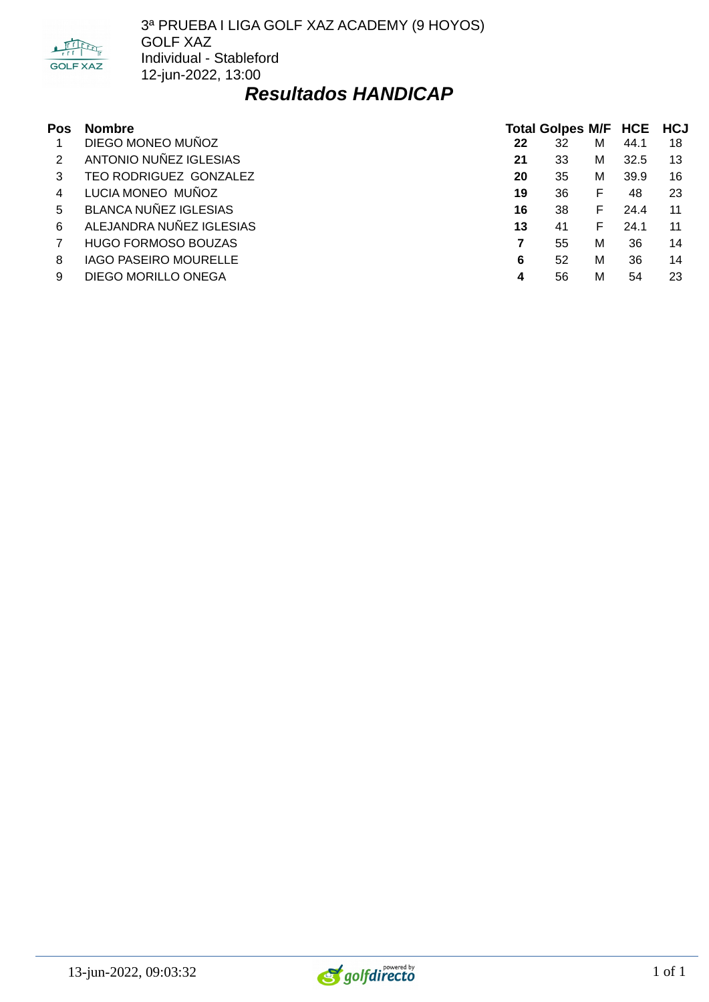

3ª PRUEBA I LIGA GOLF XAZ ACADEMY (9 HOYOS) GOLF XAZ Individual - Stableford 12-jun-2022, 13:00

## *Resultados HANDICAP*

| Pos | <b>Nombre</b>                |    | Total Golpes M/F HCE HCJ |   |      |     |
|-----|------------------------------|----|--------------------------|---|------|-----|
|     | DIEGO MONEO MUÑOZ            | 22 | 32                       | М | 44.1 | 18  |
|     | ANTONIO NUÑEZ IGLESIAS       | 21 | 33                       | м | 32.5 | 13  |
| 3   | TEO RODRIGUEZ GONZALEZ       | 20 | 35                       | м | 39.9 | 16  |
| 4   | LUCIA MONEO MUÑOZ            | 19 | 36                       | F | 48   | 23  |
| 5.  | BLANCA NUÑEZ IGLESIAS        | 16 | 38                       | F | 24.4 | -11 |
| 6   | ALEJANDRA NUÑEZ IGLESIAS     | 13 | 41                       | F | 24.1 | 11  |
|     | <b>HUGO FORMOSO BOUZAS</b>   |    | 55                       | M | 36   | 14  |
| 8   | <b>IAGO PASEIRO MOURELLE</b> | 6  | 52                       | M | 36   | 14  |
| 9   | DIEGO MORILLO ONEGA          | 4  | 56                       | M | 54   | 23  |